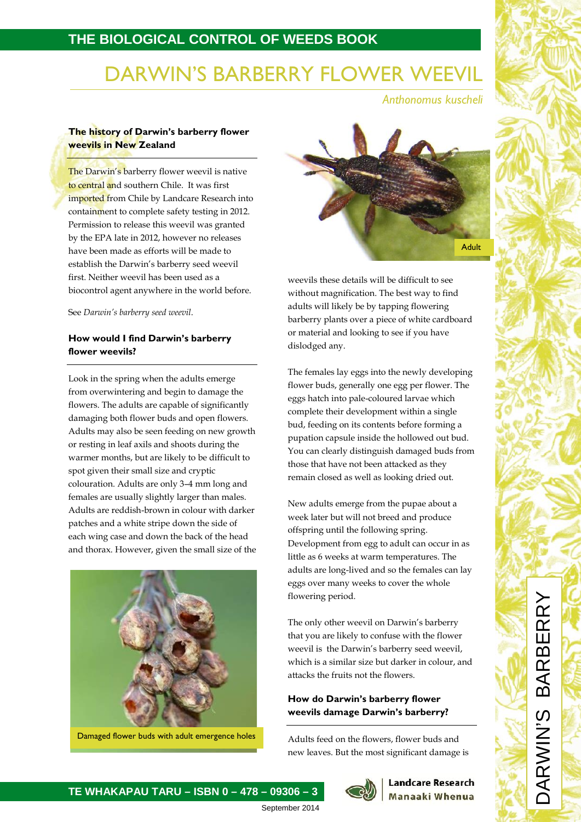## **THE BIOLOGICAL CONTROL OF WEEDS BOOK**

# DARWIN'S BARBERRY FLOWER WEEVIL

*Anthonomus kuscheli*

#### **The history of Darwin's barberry flower weevils in New Zealand**

The Darwin's barberry flower weevil is native to central and southern Chile. It was first imported from Chile by Landcare Research into containment to complete safety testing in 2012. Permission to release this weevil was granted by the EPA late in 2012, however no releases have been made as efforts will be made to establish the Darwin's barberry seed weevil first. Neither weevil has been used as a biocontrol agent anywhere in the world before.

See *Darwin's barberry seed weevil*.

### **How would I find Darwin's barberry flower weevils?**

Look in the spring when the adults emerge from overwintering and begin to damage the flowers. The adults are capable of significantly damaging both flower buds and open flowers. Adults may also be seen feeding on new growth or resting in leaf axils and shoots during the warmer months, but are likely to be difficult to spot given their small size and cryptic colouration. Adults are only 3–4 mm long and females are usually slightly larger than males. Adults are reddish-brown in colour with darker patches and a white stripe down the side of each wing case and down the back of the head and thorax. However, given the small size of the



Damaged flower buds with adult emergence holes



weevils these details will be difficult to see without magnification. The best way to find adults will likely be by tapping flowering barberry plants over a piece of white cardboard or material and looking to see if you have dislodged any.

The females lay eggs into the newly developing flower buds, generally one egg per flower. The eggs hatch into pale-coloured larvae which complete their development within a single bud, feeding on its contents before forming a pupation capsule inside the hollowed out bud. You can clearly distinguish damaged buds from those that have not been attacked as they remain closed as well as looking dried out.

New adults emerge from the pupae about a week later but will not breed and produce offspring until the following spring. Development from egg to adult can occur in as little as 6 weeks at warm temperatures. The adults are long-lived and so the females can lay eggs over many weeks to cover the whole flowering period.

The only other weevil on Darwin's barberry that you are likely to confuse with the flower weevil is the Darwin's barberry seed weevil, which is a similar size but darker in colour, and attacks the fruits not the flowers.

#### **How do Darwin's barberry flower weevils damage Darwin's barberry?**

Adults feed on the flowers, flower buds and new leaves. But the most significant damage is



#### **Landcare Research** Manaaki Whenua

### **TE WHAKAPAU TARU – ISBN 0 – 478 – 09306 – 3**

September 2014

DARWIN'S BARBERRY